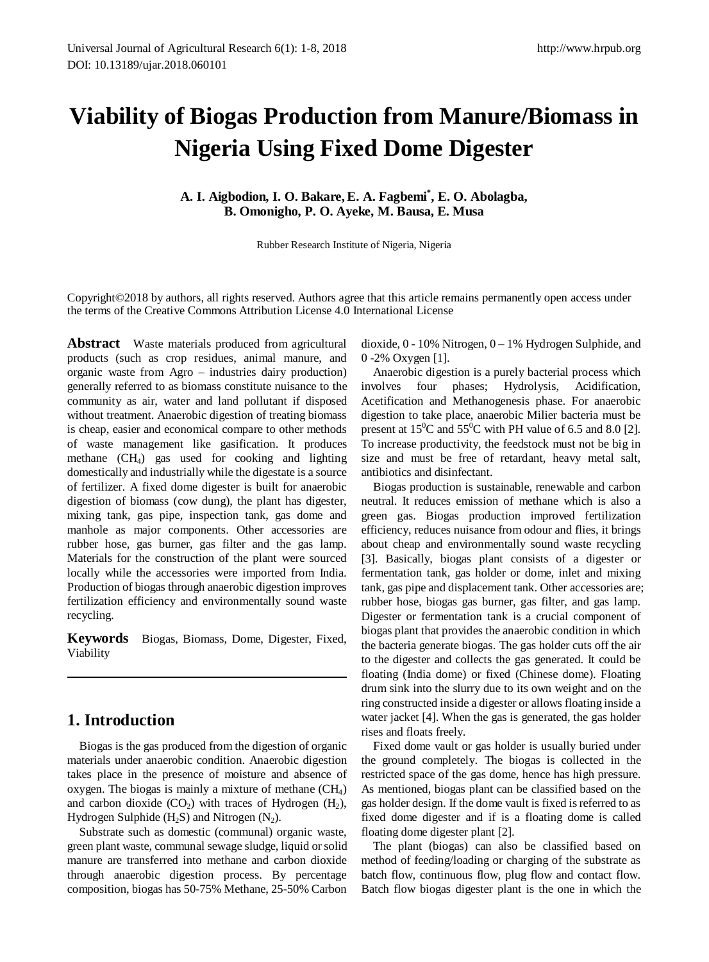# **Viability of Biogas Production from Manure/Biomass in Nigeria Using Fixed Dome Digester**

**A. I. Aigbodion, I. O. Bakare, E. A. Fagbemi\* , E. O. Abolagba, B. Omonigho, P. O. Ayeke, M. Bausa, E. Musa**

Rubber Research Institute of Nigeria, Nigeria

Copyright©2018 by authors, all rights reserved. Authors agree that this article remains permanently open access under the terms of the Creative Commons Attribution License 4.0 International License

**Abstract** Waste materials produced from agricultural products (such as crop residues, animal manure, and organic waste from Agro – industries dairy production) generally referred to as biomass constitute nuisance to the community as air, water and land pollutant if disposed without treatment. Anaerobic digestion of treating biomass is cheap, easier and economical compare to other methods of waste management like gasification. It produces methane (CH4) gas used for cooking and lighting domestically and industrially while the digestate is a source of fertilizer. A fixed dome digester is built for anaerobic digestion of biomass (cow dung), the plant has digester, mixing tank, gas pipe, inspection tank, gas dome and manhole as major components. Other accessories are rubber hose, gas burner, gas filter and the gas lamp. Materials for the construction of the plant were sourced locally while the accessories were imported from India. Production of biogas through anaerobic digestion improves fertilization efficiency and environmentally sound waste recycling.

**Keywords** Biogas, Biomass, Dome, Digester, Fixed, Viability

# **1. Introduction**

Biogas is the gas produced from the digestion of organic materials under anaerobic condition. Anaerobic digestion takes place in the presence of moisture and absence of oxygen. The biogas is mainly a mixture of methane (CH4) and carbon dioxide  $(CO_2)$  with traces of Hydrogen  $(H_2)$ , Hydrogen Sulphide (H<sub>2</sub>S) and Nitrogen (N<sub>2</sub>).

Substrate such as domestic (communal) organic waste, green plant waste, communal sewage sludge, liquid or solid manure are transferred into methane and carbon dioxide through anaerobic digestion process. By percentage composition, biogas has 50-75% Methane, 25-50% Carbon

dioxide, 0 - 10% Nitrogen, 0 – 1% Hydrogen Sulphide, and 0 -2% Oxygen [1].

Anaerobic digestion is a purely bacterial process which involves four phases; Hydrolysis, Acidification, Acetification and Methanogenesis phase. For anaerobic digestion to take place, anaerobic Milier bacteria must be present at  $15^{\circ}$ C and  $55^{\circ}$ C with PH value of 6.5 and 8.0 [2]. To increase productivity, the feedstock must not be big in size and must be free of retardant, heavy metal salt, antibiotics and disinfectant.

Biogas production is sustainable, renewable and carbon neutral. It reduces emission of methane which is also a green gas. Biogas production improved fertilization efficiency, reduces nuisance from odour and flies, it brings about cheap and environmentally sound waste recycling [3]. Basically, biogas plant consists of a digester or fermentation tank, gas holder or dome, inlet and mixing tank, gas pipe and displacement tank. Other accessories are; rubber hose, biogas gas burner, gas filter, and gas lamp. Digester or fermentation tank is a crucial component of biogas plant that provides the anaerobic condition in which the bacteria generate biogas. The gas holder cuts off the air to the digester and collects the gas generated. It could be floating (India dome) or fixed (Chinese dome). Floating drum sink into the slurry due to its own weight and on the ring constructed inside a digester or allows floating inside a water jacket [4]. When the gas is generated, the gas holder rises and floats freely.

Fixed dome vault or gas holder is usually buried under the ground completely. The biogas is collected in the restricted space of the gas dome, hence has high pressure. As mentioned, biogas plant can be classified based on the gas holder design. If the dome vault is fixed is referred to as fixed dome digester and if is a floating dome is called floating dome digester plant [2].

The plant (biogas) can also be classified based on method of feeding/loading or charging of the substrate as batch flow, continuous flow, plug flow and contact flow. Batch flow biogas digester plant is the one in which the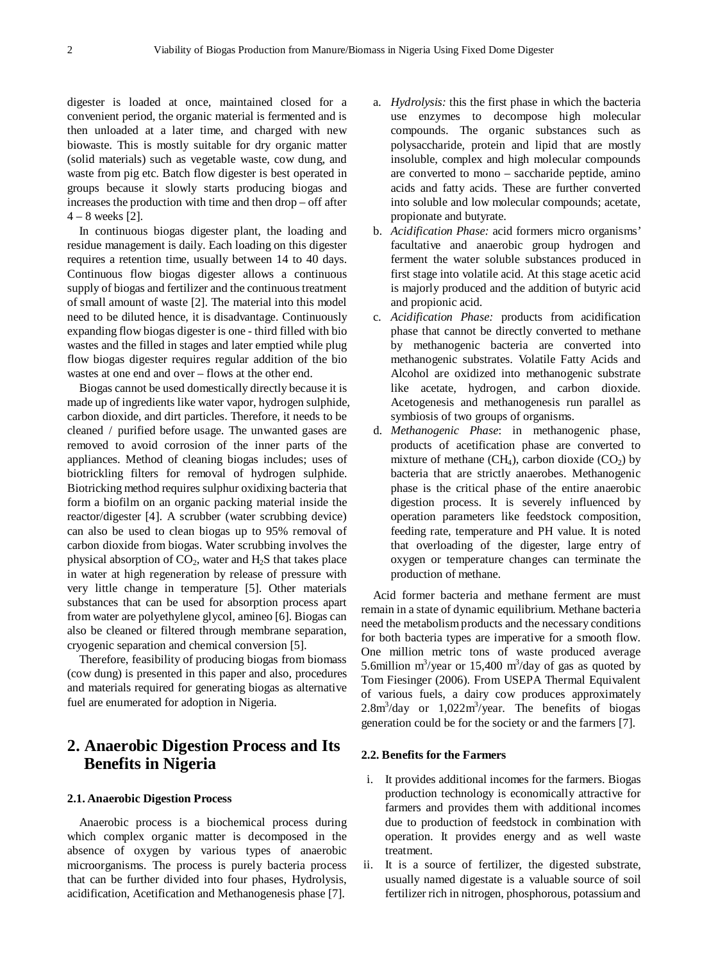digester is loaded at once, maintained closed for a convenient period, the organic material is fermented and is then unloaded at a later time, and charged with new biowaste. This is mostly suitable for dry organic matter (solid materials) such as vegetable waste, cow dung, and waste from pig etc. Batch flow digester is best operated in groups because it slowly starts producing biogas and increases the production with time and then drop – off after  $4 - 8$  weeks [2].

In continuous biogas digester plant, the loading and residue management is daily. Each loading on this digester requires a retention time, usually between 14 to 40 days. Continuous flow biogas digester allows a continuous supply of biogas and fertilizer and the continuous treatment of small amount of waste [2]. The material into this model need to be diluted hence, it is disadvantage. Continuously expanding flow biogas digester is one - third filled with bio wastes and the filled in stages and later emptied while plug flow biogas digester requires regular addition of the bio wastes at one end and over – flows at the other end.

Biogas cannot be used domestically directly because it is made up of ingredients like water vapor, hydrogen sulphide, carbon dioxide, and dirt particles. Therefore, it needs to be cleaned / purified before usage. The unwanted gases are removed to avoid corrosion of the inner parts of the appliances. Method of cleaning biogas includes; uses of biotrickling filters for removal of hydrogen sulphide. Biotricking method requires sulphur oxidixing bacteria that form a biofilm on an organic packing material inside the reactor/digester [4]. A scrubber (water scrubbing device) can also be used to clean biogas up to 95% removal of carbon dioxide from biogas. Water scrubbing involves the physical absorption of  $CO<sub>2</sub>$ , water and  $H<sub>2</sub>S$  that takes place in water at high regeneration by release of pressure with very little change in temperature [5]. Other materials substances that can be used for absorption process apart from water are polyethylene glycol, amineo [6]. Biogas can also be cleaned or filtered through membrane separation, cryogenic separation and chemical conversion [5].

Therefore, feasibility of producing biogas from biomass (cow dung) is presented in this paper and also, procedures and materials required for generating biogas as alternative fuel are enumerated for adoption in Nigeria.

# **2. Anaerobic Digestion Process and Its Benefits in Nigeria**

#### **2.1. Anaerobic Digestion Process**

Anaerobic process is a biochemical process during which complex organic matter is decomposed in the absence of oxygen by various types of anaerobic microorganisms. The process is purely bacteria process that can be further divided into four phases, Hydrolysis, acidification, Acetification and Methanogenesis phase [7].

- a. *Hydrolysis:* this the first phase in which the bacteria use enzymes to decompose high molecular compounds. The organic substances such as polysaccharide, protein and lipid that are mostly insoluble, complex and high molecular compounds are converted to mono – saccharide peptide, amino acids and fatty acids. These are further converted into soluble and low molecular compounds; acetate, propionate and butyrate.
- b. *Acidification Phase:* acid formers micro organisms' facultative and anaerobic group hydrogen and ferment the water soluble substances produced in first stage into volatile acid. At this stage acetic acid is majorly produced and the addition of butyric acid and propionic acid.
- c. *Acidification Phase:* products from acidification phase that cannot be directly converted to methane by methanogenic bacteria are converted into methanogenic substrates. Volatile Fatty Acids and Alcohol are oxidized into methanogenic substrate like acetate, hydrogen, and carbon dioxide. Acetogenesis and methanogenesis run parallel as symbiosis of two groups of organisms.
- d. *Methanogenic Phase*: in methanogenic phase, products of acetification phase are converted to mixture of methane (CH<sub>4</sub>), carbon dioxide (CO<sub>2</sub>) by bacteria that are strictly anaerobes. Methanogenic phase is the critical phase of the entire anaerobic digestion process. It is severely influenced by operation parameters like feedstock composition, feeding rate, temperature and PH value. It is noted that overloading of the digester, large entry of oxygen or temperature changes can terminate the production of methane.

Acid former bacteria and methane ferment are must remain in a state of dynamic equilibrium. Methane bacteria need the metabolism products and the necessary conditions for both bacteria types are imperative for a smooth flow. One million metric tons of waste produced average 5.6million m<sup>3</sup>/year or 15,400 m<sup>3</sup>/day of gas as quoted by Tom Fiesinger (2006). From USEPA Thermal Equivalent of various fuels, a dairy cow produces approximately  $2.8$ m<sup>3</sup>/day or  $1,022$ m<sup>3</sup>/year. The benefits of biogas generation could be for the society or and the farmers [7].

#### **2.2. Benefits for the Farmers**

- i. It provides additional incomes for the farmers. Biogas production technology is economically attractive for farmers and provides them with additional incomes due to production of feedstock in combination with operation. It provides energy and as well waste treatment.
- ii. It is a source of fertilizer, the digested substrate, usually named digestate is a valuable source of soil fertilizer rich in nitrogen, phosphorous, potassium and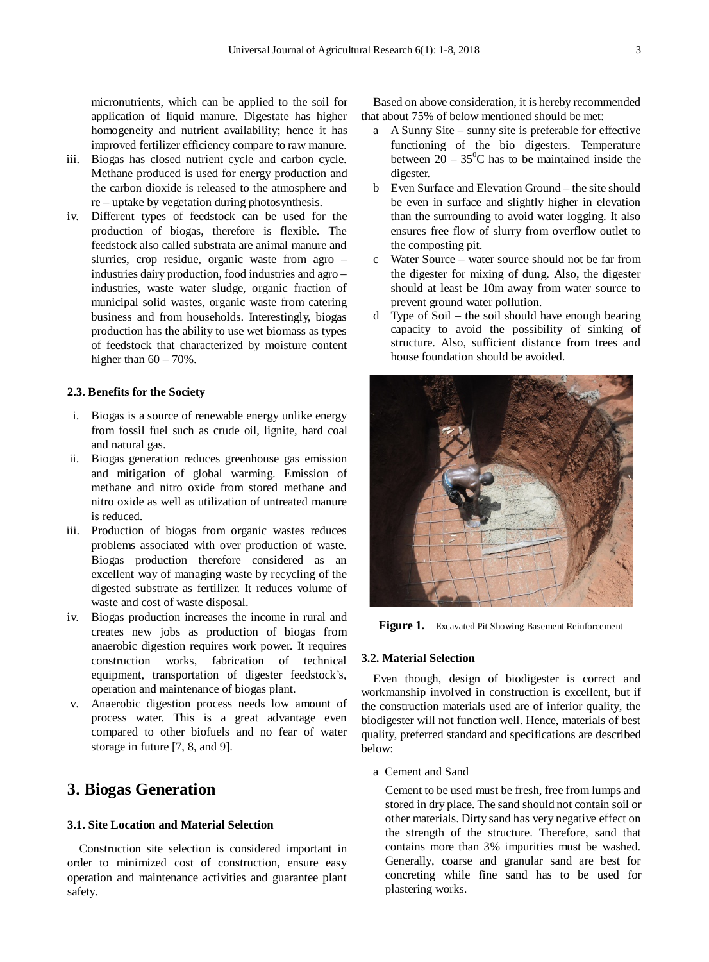micronutrients, which can be applied to the soil for application of liquid manure. Digestate has higher homogeneity and nutrient availability; hence it has improved fertilizer efficiency compare to raw manure.

- iii. Biogas has closed nutrient cycle and carbon cycle. Methane produced is used for energy production and the carbon dioxide is released to the atmosphere and re – uptake by vegetation during photosynthesis.
- iv. Different types of feedstock can be used for the production of biogas, therefore is flexible. The feedstock also called substrata are animal manure and slurries, crop residue, organic waste from agro – industries dairy production, food industries and agro – industries, waste water sludge, organic fraction of municipal solid wastes, organic waste from catering business and from households. Interestingly, biogas production has the ability to use wet biomass as types of feedstock that characterized by moisture content higher than  $60 - 70\%$ .

### **2.3. Benefits for the Society**

- i. Biogas is a source of renewable energy unlike energy from fossil fuel such as crude oil, lignite, hard coal and natural gas.
- ii. Biogas generation reduces greenhouse gas emission and mitigation of global warming. Emission of methane and nitro oxide from stored methane and nitro oxide as well as utilization of untreated manure is reduced.
- iii. Production of biogas from organic wastes reduces problems associated with over production of waste. Biogas production therefore considered as an excellent way of managing waste by recycling of the digested substrate as fertilizer. It reduces volume of waste and cost of waste disposal.
- iv. Biogas production increases the income in rural and creates new jobs as production of biogas from anaerobic digestion requires work power. It requires construction works, fabrication of technical equipment, transportation of digester feedstock's, operation and maintenance of biogas plant.
- v. Anaerobic digestion process needs low amount of process water. This is a great advantage even compared to other biofuels and no fear of water storage in future [7, 8, and 9].

# **3. Biogas Generation**

### **3.1. Site Location and Material Selection**

Construction site selection is considered important in order to minimized cost of construction, ensure easy operation and maintenance activities and guarantee plant safety.

Based on above consideration, it is hereby recommended that about 75% of below mentioned should be met:

- a A Sunny Site sunny site is preferable for effective functioning of the bio digesters. Temperature between  $20 - 35^{\circ}$ C has to be maintained inside the digester.
- b Even Surface and Elevation Ground the site should be even in surface and slightly higher in elevation than the surrounding to avoid water logging. It also ensures free flow of slurry from overflow outlet to the composting pit.
- c Water Source water source should not be far from the digester for mixing of dung. Also, the digester should at least be 10m away from water source to prevent ground water pollution.
- d Type of Soil the soil should have enough bearing capacity to avoid the possibility of sinking of structure. Also, sufficient distance from trees and house foundation should be avoided.



Figure 1. Excavated Pit Showing Basement Reinforcement

#### **3.2. Material Selection**

Even though, design of biodigester is correct and workmanship involved in construction is excellent, but if the construction materials used are of inferior quality, the biodigester will not function well. Hence, materials of best quality, preferred standard and specifications are described below:

a Cement and Sand

Cement to be used must be fresh, free from lumps and stored in dry place. The sand should not contain soil or other materials. Dirty sand has very negative effect on the strength of the structure. Therefore, sand that contains more than 3% impurities must be washed. Generally, coarse and granular sand are best for concreting while fine sand has to be used for plastering works.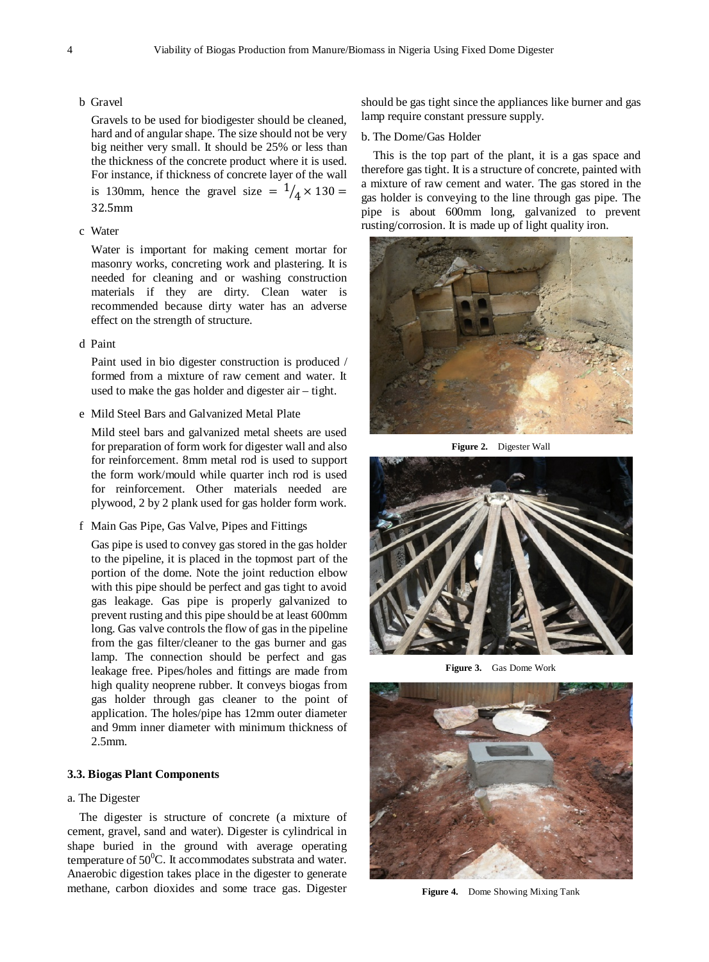#### b Gravel

Gravels to be used for biodigester should be cleaned, hard and of angular shape. The size should not be very big neither very small. It should be 25% or less than the thickness of the concrete product where it is used. For instance, if thickness of concrete layer of the wall is 130mm, hence the gravel size  $= \frac{1}{4} \times 130 =$ 32.5mm

#### c Water

Water is important for making cement mortar for masonry works, concreting work and plastering. It is needed for cleaning and or washing construction materials if they are dirty. Clean water is recommended because dirty water has an adverse effect on the strength of structure.

### d Paint

Paint used in bio digester construction is produced / formed from a mixture of raw cement and water. It used to make the gas holder and digester air – tight.

e Mild Steel Bars and Galvanized Metal Plate

Mild steel bars and galvanized metal sheets are used for preparation of form work for digester wall and also for reinforcement. 8mm metal rod is used to support the form work/mould while quarter inch rod is used for reinforcement. Other materials needed are plywood, 2 by 2 plank used for gas holder form work.

f Main Gas Pipe, Gas Valve, Pipes and Fittings

Gas pipe is used to convey gas stored in the gas holder to the pipeline, it is placed in the topmost part of the portion of the dome. Note the joint reduction elbow with this pipe should be perfect and gas tight to avoid gas leakage. Gas pipe is properly galvanized to prevent rusting and this pipe should be at least 600mm long. Gas valve controls the flow of gas in the pipeline from the gas filter/cleaner to the gas burner and gas lamp. The connection should be perfect and gas leakage free. Pipes/holes and fittings are made from high quality neoprene rubber. It conveys biogas from gas holder through gas cleaner to the point of application. The holes/pipe has 12mm outer diameter and 9mm inner diameter with minimum thickness of 2.5mm.

#### **3.3. Biogas Plant Components**

### a. The Digester

The digester is structure of concrete (a mixture of cement, gravel, sand and water). Digester is cylindrical in shape buried in the ground with average operating temperature of  $50^0$ C. It accommodates substrata and water. Anaerobic digestion takes place in the digester to generate methane, carbon dioxides and some trace gas. Digester

should be gas tight since the appliances like burner and gas lamp require constant pressure supply.

#### b. The Dome/Gas Holder

This is the top part of the plant, it is a gas space and therefore gas tight. It is a structure of concrete, painted with a mixture of raw cement and water. The gas stored in the gas holder is conveying to the line through gas pipe. The pipe is about 600mm long, galvanized to prevent rusting/corrosion. It is made up of light quality iron.



**Figure 2.** Digester Wall



**Figure 3.** Gas Dome Work



**Figure 4.** Dome Showing Mixing Tank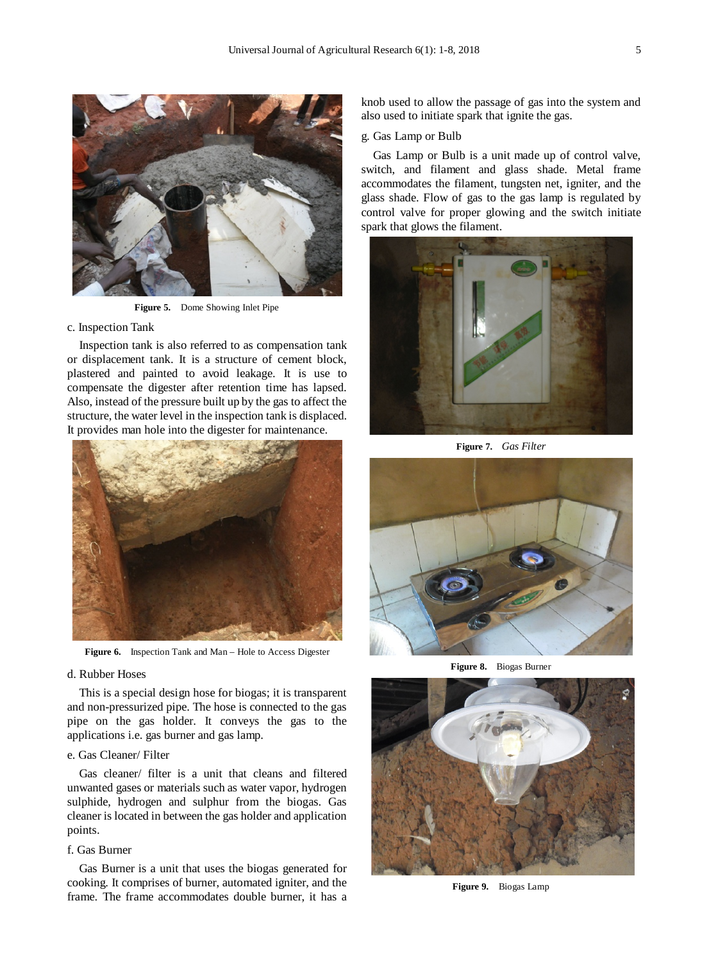

**Figure 5.** Dome Showing Inlet Pipe

#### c. Inspection Tank

Inspection tank is also referred to as compensation tank or displacement tank. It is a structure of cement block, plastered and painted to avoid leakage. It is use to compensate the digester after retention time has lapsed. Also, instead of the pressure built up by the gas to affect the structure, the water level in the inspection tank is displaced. It provides man hole into the digester for maintenance.



Figure 6. Inspection Tank and Man – Hole to Access Digester

#### d. Rubber Hoses

This is a special design hose for biogas; it is transparent and non-pressurized pipe. The hose is connected to the gas pipe on the gas holder. It conveys the gas to the applications i.e. gas burner and gas lamp.

### e. Gas Cleaner/ Filter

Gas cleaner/ filter is a unit that cleans and filtered unwanted gases or materials such as water vapor, hydrogen sulphide, hydrogen and sulphur from the biogas. Gas cleaner is located in between the gas holder and application points.

### f. Gas Burner

Gas Burner is a unit that uses the biogas generated for cooking. It comprises of burner, automated igniter, and the frame. The frame accommodates double burner, it has a knob used to allow the passage of gas into the system and also used to initiate spark that ignite the gas.

g. Gas Lamp or Bulb

Gas Lamp or Bulb is a unit made up of control valve, switch, and filament and glass shade. Metal frame accommodates the filament, tungsten net, igniter, and the glass shade. Flow of gas to the gas lamp is regulated by control valve for proper glowing and the switch initiate spark that glows the filament.



**Figure 7.** *Gas Filter*



**Figure 8.** Biogas Burner



**Figure 9.** Biogas Lamp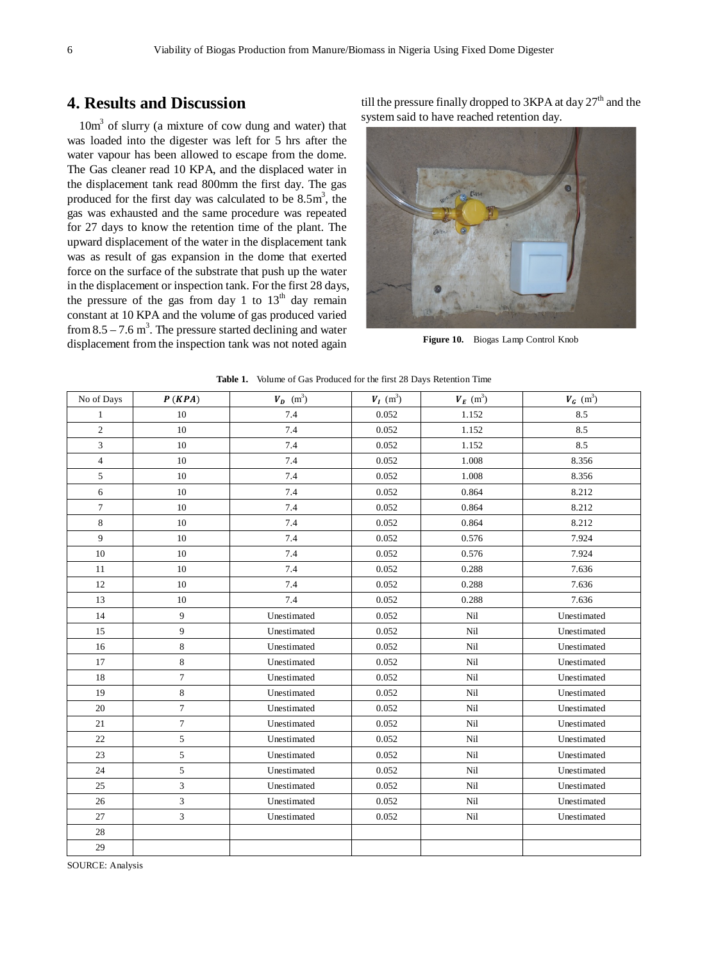# **4. Results and Discussion**

 $10m<sup>3</sup>$  of slurry (a mixture of cow dung and water) that was loaded into the digester was left for 5 hrs after the water vapour has been allowed to escape from the dome. The Gas cleaner read 10 KPA, and the displaced water in the displacement tank read 800mm the first day. The gas produced for the first day was calculated to be  $8.5 \text{m}^3$ , the gas was exhausted and the same procedure was repeated for 27 days to know the retention time of the plant. The upward displacement of the water in the displacement tank was as result of gas expansion in the dome that exerted force on the surface of the substrate that push up the water in the displacement or inspection tank. For the first 28 days, the pressure of the gas from day 1 to  $13<sup>th</sup>$  day remain constant at 10 KPA and the volume of gas produced varied from  $8.5 - 7.6$  m<sup>3</sup>. The pressure started declining and water displacement from the inspection tank was not noted again

till the pressure finally dropped to  $3KPA$  at day  $27<sup>th</sup>$  and the system said to have reached retention day.



**Figure 10.** Biogas Lamp Control Knob

| No of Days     | P(KPA)                  | $\boldsymbol{V_D} \hspace{1mm} (\mathrm{m}^3)$ | $\boldsymbol{V_I}~(\mathrm{m}^3)$ | $\boldsymbol{V_E}\ (\text{m}^3)$ | $\boldsymbol{V_G}~(\text{m}^3)$ |
|----------------|-------------------------|------------------------------------------------|-----------------------------------|----------------------------------|---------------------------------|
| $\mathbf{1}$   | 10                      | 7.4                                            | 0.052                             | 1.152                            | 8.5                             |
| $\overline{c}$ | 10                      | 7.4                                            | 0.052                             | 1.152                            | 8.5                             |
| 3              | 10                      | 7.4                                            | 0.052                             | 1.152                            | 8.5                             |
| $\overline{4}$ | 10                      | 7.4                                            | 0.052                             | 1.008                            | 8.356                           |
| 5              | 10                      | 7.4                                            | 0.052                             | 1.008                            | 8.356                           |
| 6              | 10                      | 7.4                                            | 0.052                             | 0.864                            | 8.212                           |
| $\tau$         | 10                      | 7.4                                            | 0.052                             | 0.864                            | 8.212                           |
| 8              | 10                      | 7.4                                            | 0.052                             | 0.864                            | 8.212                           |
| 9              | 10                      | 7.4                                            | 0.052                             | 0.576                            | 7.924                           |
| 10             | 10                      | 7.4                                            | 0.052                             | 0.576                            | 7.924                           |
| 11             | 10                      | 7.4                                            | 0.052                             | 0.288                            | 7.636                           |
| 12             | 10                      | 7.4                                            | 0.052                             | 0.288                            | 7.636                           |
| 13             | 10                      | 7.4                                            | 0.052                             | 0.288                            | 7.636                           |
| 14             | 9                       | Unestimated                                    | 0.052                             | Nil                              | Unestimated                     |
| 15             | 9                       | Unestimated                                    | 0.052                             | Nil                              | Unestimated                     |
| 16             | 8                       | Unestimated                                    | 0.052                             | Nil                              | Unestimated                     |
| 17             | $\,8\,$                 | Unestimated                                    | 0.052                             | Nil                              | Unestimated                     |
| 18             | $\overline{7}$          | Unestimated                                    | 0.052                             | Nil                              | Unestimated                     |
| 19             | 8                       | Unestimated                                    | 0.052                             | Nil                              | Unestimated                     |
| 20             | $\overline{7}$          | Unestimated                                    | 0.052                             | Nil                              | Unestimated                     |
| 21             | $\tau$                  | Unestimated                                    | 0.052                             | Nil                              | Unestimated                     |
| 22             | 5                       | Unestimated                                    | 0.052                             | Nil                              | Unestimated                     |
| 23             | 5                       | Unestimated                                    | 0.052                             | Nil                              | Unestimated                     |
| 24             | 5                       | Unestimated                                    | 0.052                             | Nil                              | Unestimated                     |
| 25             | 3                       | Unestimated                                    | 0.052                             | Nil                              | Unestimated                     |
| 26             | 3                       | Unestimated                                    | 0.052                             | Nil                              | Unestimated                     |
| 27             | $\overline{\mathbf{3}}$ | $\label{thm:unit} Unestimated$                 | 0.052                             | Nil                              | Unestimated                     |
| 28             |                         |                                                |                                   |                                  |                                 |
| 29             |                         |                                                |                                   |                                  |                                 |

**Table 1.** Volume of Gas Produced for the first 28 Days Retention Time

SOURCE: Analysis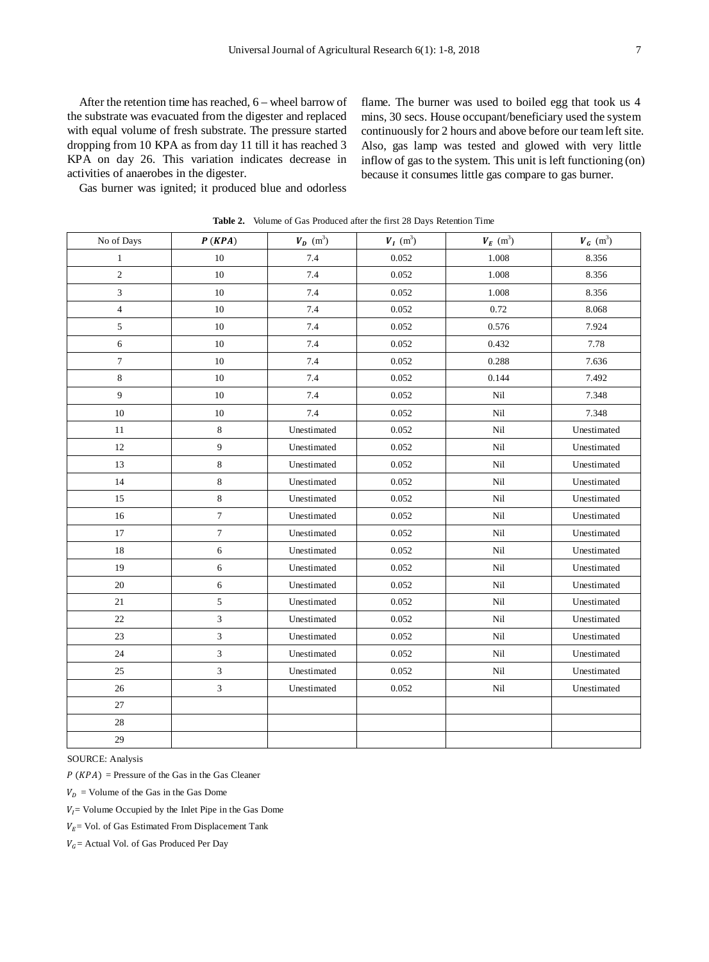After the retention time has reached, 6 – wheel barrow of the substrate was evacuated from the digester and replaced with equal volume of fresh substrate. The pressure started dropping from 10 KPA as from day 11 till it has reached 3 KPA on day 26. This variation indicates decrease in activities of anaerobes in the digester.

flame. The burner was used to boiled egg that took us 4 mins, 30 secs. House occupant/beneficiary used the system continuously for 2 hours and above before our team left site. Also, gas lamp was tested and glowed with very little inflow of gas to the system. This unit is left functioning (on) because it consumes little gas compare to gas burner.

Gas burner was ignited; it produced blue and odorless

| No of Days     | P(KPA)         | $V_p$ (m <sup>3</sup> ) | $V_I$ (m <sup>3</sup> ) | $\boldsymbol{V_E}~(\mathrm{m}^3)$ | $V_G$ (m <sup>3</sup> ) |
|----------------|----------------|-------------------------|-------------------------|-----------------------------------|-------------------------|
| $\,1$          | $10\,$         | 7.4                     | 0.052                   | 1.008                             | 8.356                   |
| $\overline{c}$ | $10\,$         | 7.4                     | 0.052                   | 1.008                             | 8.356                   |
| 3              | 10             | 7.4                     | 0.052                   | 1.008                             | 8.356                   |
| $\overline{4}$ | $10\,$         | 7.4                     | 0.052                   | 0.72                              | 8.068                   |
| $\sqrt{5}$     | $10\,$         | 7.4                     | 0.052                   | 0.576                             | 7.924                   |
| $\sqrt{6}$     | 10             | 7.4                     | 0.052                   | 0.432                             | 7.78                    |
| $\tau$         | 10             | 7.4                     | 0.052                   | 0.288                             | 7.636                   |
| 8              | 10             | 7.4                     | 0.052                   | 0.144                             | 7.492                   |
| 9              | 10             | 7.4                     | 0.052                   | Nil                               | 7.348                   |
| 10             | 10             | 7.4                     | 0.052                   | Nil                               | 7.348                   |
| 11             | 8              | Unestimated             | 0.052                   | Nil                               | Unestimated             |
| 12             | 9              | Unestimated             | 0.052                   | Nil                               | Unestimated             |
| 13             | 8              | Unestimated             | 0.052                   | Nil                               | Unestimated             |
| 14             | 8              | Unestimated             | 0.052                   | Nil                               | Unestimated             |
| 15             | 8              | Unestimated             | 0.052                   | Nil                               | Unestimated             |
| 16             | $\tau$         | Unestimated             | 0.052                   | Nil                               | Unestimated             |
| 17             | $\overline{7}$ | Unestimated             | 0.052                   | Nil                               | Unestimated             |
| 18             | 6              | Unestimated             | 0.052                   | Nil                               | Unestimated             |
| 19             | 6              | Unestimated             | 0.052                   | Nil                               | Unestimated             |
| 20             | $\sqrt{6}$     | Unestimated             | 0.052                   | Nil                               | Unestimated             |
| 21             | $\sqrt{5}$     | Unestimated             | 0.052                   | Nil                               | Unestimated             |
| 22             | 3              | Unestimated             | 0.052                   | Nil                               | Unestimated             |
| 23             | 3              | Unestimated             | 0.052                   | Nil                               | Unestimated             |
| 24             | 3              | Unestimated             | 0.052                   | Nil                               | Unestimated             |
| 25             | 3              | Unestimated             | 0.052                   | Nil                               | Unestimated             |
| 26             | $\mathfrak{Z}$ | Unestimated             | 0.052                   | Nil                               | Unestimated             |
| 27             |                |                         |                         |                                   |                         |
| 28             |                |                         |                         |                                   |                         |
| 29             |                |                         |                         |                                   |                         |

**Table 2.** Volume of Gas Produced after the first 28 Days Retention Time

SOURCE: Analysis

 $P(KPA)$  = Pressure of the Gas in the Gas Cleaner

 $V_D$  = Volume of the Gas in the Gas Dome

 $V_I$  = Volume Occupied by the Inlet Pipe in the Gas Dome

 $V_E$ = Vol. of Gas Estimated From Displacement Tank

 $V_G$  = Actual Vol. of Gas Produced Per Day